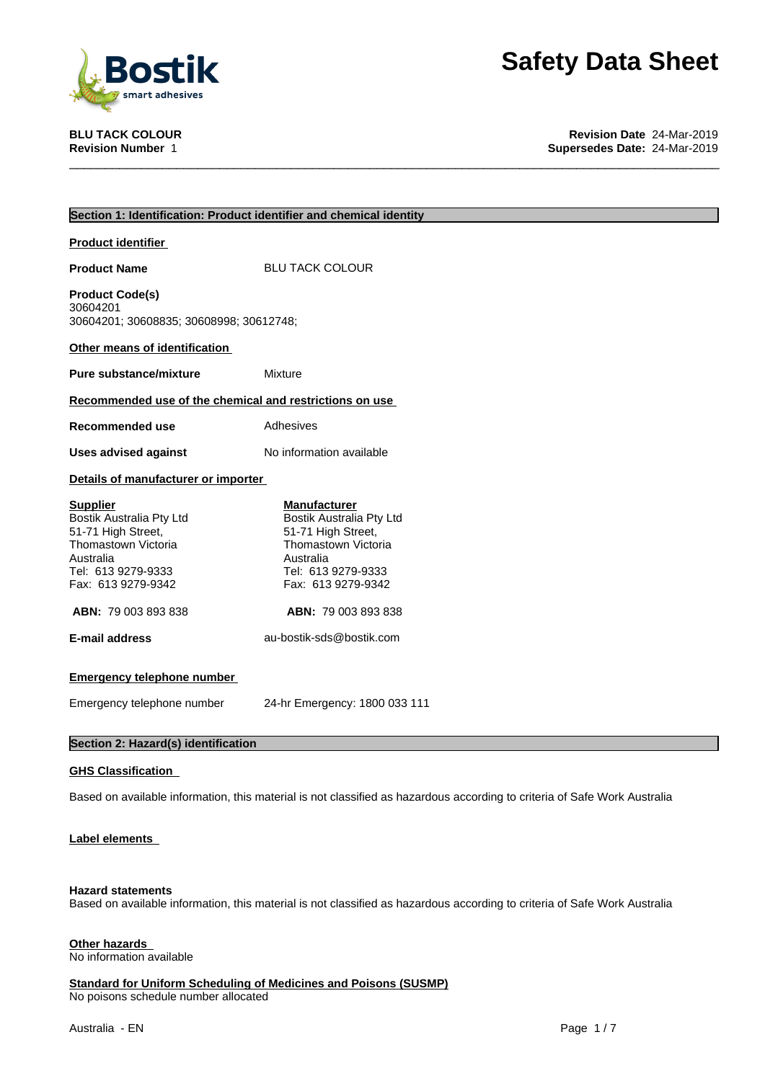

**BLU TACK COLOUR Revision Date** 24-Mar-2019 **Supersedes Date: 24-Mar-2019** 

| Section 1: Identification: Product identifier and chemical identity                                                                               |                                                                                                                                                       |  |
|---------------------------------------------------------------------------------------------------------------------------------------------------|-------------------------------------------------------------------------------------------------------------------------------------------------------|--|
| <b>Product identifier</b>                                                                                                                         |                                                                                                                                                       |  |
| <b>Product Name</b>                                                                                                                               | <b>BLU TACK COLOUR</b>                                                                                                                                |  |
| <b>Product Code(s)</b><br>30604201<br>30604201; 30608835; 30608998; 30612748;                                                                     |                                                                                                                                                       |  |
| Other means of identification                                                                                                                     |                                                                                                                                                       |  |
| <b>Pure substance/mixture</b>                                                                                                                     | Mixture                                                                                                                                               |  |
| Recommended use of the chemical and restrictions on use                                                                                           |                                                                                                                                                       |  |
| <b>Recommended use</b>                                                                                                                            | Adhesives                                                                                                                                             |  |
| <b>Uses advised against</b>                                                                                                                       | No information available                                                                                                                              |  |
| Details of manufacturer or importer                                                                                                               |                                                                                                                                                       |  |
| <b>Supplier</b><br>Bostik Australia Pty Ltd<br>51-71 High Street,<br>Thomastown Victoria<br>Australia<br>Tel: 613 9279-9333<br>Fax: 613 9279-9342 | <b>Manufacturer</b><br>Bostik Australia Pty Ltd<br>51-71 High Street,<br>Thomastown Victoria<br>Australia<br>Tel: 613 9279-9333<br>Fax: 613 9279-9342 |  |
| <b>ABN: 79 003 893 838</b>                                                                                                                        | <b>ABN: 79 003 893 838</b>                                                                                                                            |  |
| <b>E-mail address</b>                                                                                                                             | au-bostik-sds@bostik.com                                                                                                                              |  |
| <b>Emergency telephone number</b>                                                                                                                 |                                                                                                                                                       |  |
| Emergency telephone number                                                                                                                        | 24-hr Emergency: 1800 033 111                                                                                                                         |  |
| Section 2: Hazard(s) identification                                                                                                               |                                                                                                                                                       |  |

### **GHS Classification**

Based on available information, this material is not classified as hazardous according to criteria of Safe Work Australia

#### **Label elements**

#### **Hazard statements**

Based on available information, this material is not classified as hazardous according to criteria of Safe Work Australia

#### **Other hazards**

No information available

**Standard for Uniform Scheduling of Medicines and Poisons (SUSMP)** No poisons schedule number allocated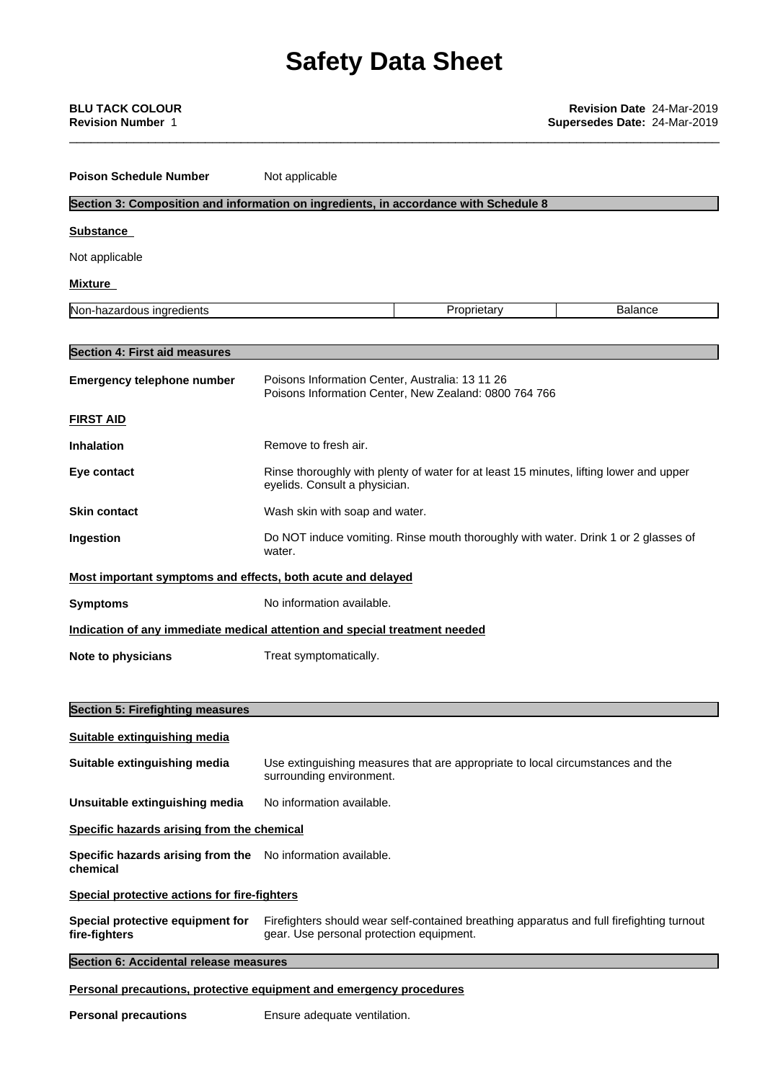| <b>BLU TACK COLOUR</b><br><b>Revision Number</b> 1          |                                                                                                                                       | <b>Revision Date 24-Mar-2019</b><br>Supersedes Date: 24-Mar-2019 |
|-------------------------------------------------------------|---------------------------------------------------------------------------------------------------------------------------------------|------------------------------------------------------------------|
| <b>Poison Schedule Number</b>                               | Not applicable                                                                                                                        |                                                                  |
|                                                             | Section 3: Composition and information on ingredients, in accordance with Schedule 8                                                  |                                                                  |
| <b>Substance</b>                                            |                                                                                                                                       |                                                                  |
| Not applicable                                              |                                                                                                                                       |                                                                  |
| <b>Mixture</b>                                              |                                                                                                                                       |                                                                  |
| Non-hazardous ingredients                                   | Proprietary                                                                                                                           | <b>Balance</b>                                                   |
| <b>Section 4: First aid measures</b>                        |                                                                                                                                       |                                                                  |
| <b>Emergency telephone number</b>                           | Poisons Information Center, Australia: 13 11 26<br>Poisons Information Center, New Zealand: 0800 764 766                              |                                                                  |
| <b>FIRST AID</b>                                            |                                                                                                                                       |                                                                  |
| <b>Inhalation</b>                                           | Remove to fresh air.                                                                                                                  |                                                                  |
| Eye contact                                                 | Rinse thoroughly with plenty of water for at least 15 minutes, lifting lower and upper<br>eyelids. Consult a physician.               |                                                                  |
| <b>Skin contact</b>                                         | Wash skin with soap and water.                                                                                                        |                                                                  |
| Ingestion                                                   | Do NOT induce vomiting. Rinse mouth thoroughly with water. Drink 1 or 2 glasses of<br>water.                                          |                                                                  |
| Most important symptoms and effects, both acute and delayed |                                                                                                                                       |                                                                  |
| <b>Symptoms</b>                                             | No information available.                                                                                                             |                                                                  |
|                                                             | Indication of any immediate medical attention and special treatment needed                                                            |                                                                  |
| Note to physicians                                          | Treat symptomatically.                                                                                                                |                                                                  |
| <b>Section 5: Firefighting measures</b>                     |                                                                                                                                       |                                                                  |
| <b>Suitable extinguishing media</b>                         |                                                                                                                                       |                                                                  |
| Suitable extinguishing media                                | Use extinguishing measures that are appropriate to local circumstances and the<br>surrounding environment.                            |                                                                  |
| Unsuitable extinguishing media                              | No information available.                                                                                                             |                                                                  |
| Specific hazards arising from the chemical                  |                                                                                                                                       |                                                                  |
| Specific hazards arising from the<br>chemical               | No information available.                                                                                                             |                                                                  |
| <b>Special protective actions for fire-fighters</b>         |                                                                                                                                       |                                                                  |
| Special protective equipment for<br>fire-fighters           | Firefighters should wear self-contained breathing apparatus and full firefighting turnout<br>gear. Use personal protection equipment. |                                                                  |
| Section 6: Accidental release measures                      |                                                                                                                                       |                                                                  |
|                                                             | Personal precautions, protective equipment and emergency procedures                                                                   |                                                                  |

**Personal precautions** Ensure adequate ventilation.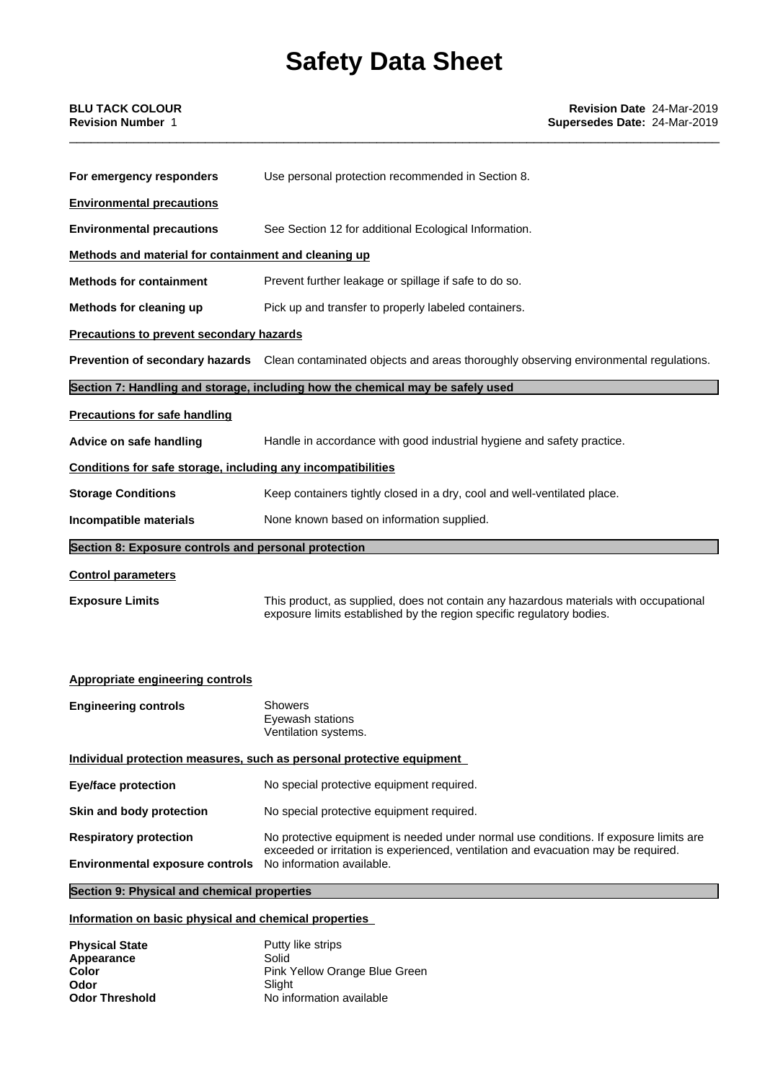| For emergency responders                                     | Use personal protection recommended in Section 8.                                                                                                              |  |  |
|--------------------------------------------------------------|----------------------------------------------------------------------------------------------------------------------------------------------------------------|--|--|
| <b>Environmental precautions</b>                             |                                                                                                                                                                |  |  |
| <b>Environmental precautions</b>                             | See Section 12 for additional Ecological Information.                                                                                                          |  |  |
| Methods and material for containment and cleaning up         |                                                                                                                                                                |  |  |
| <b>Methods for containment</b>                               | Prevent further leakage or spillage if safe to do so.                                                                                                          |  |  |
| Methods for cleaning up                                      | Pick up and transfer to properly labeled containers.                                                                                                           |  |  |
| <b>Precautions to prevent secondary hazards</b>              |                                                                                                                                                                |  |  |
|                                                              | <b>Prevention of secondary hazards</b> Clean contaminated objects and areas thoroughly observing environmental regulations.                                    |  |  |
|                                                              | Section 7: Handling and storage, including how the chemical may be safely used                                                                                 |  |  |
| <b>Precautions for safe handling</b>                         |                                                                                                                                                                |  |  |
| Advice on safe handling                                      | Handle in accordance with good industrial hygiene and safety practice.                                                                                         |  |  |
| Conditions for safe storage, including any incompatibilities |                                                                                                                                                                |  |  |
| <b>Storage Conditions</b>                                    | Keep containers tightly closed in a dry, cool and well-ventilated place.                                                                                       |  |  |
| Incompatible materials                                       | None known based on information supplied.                                                                                                                      |  |  |
| Section 8: Exposure controls and personal protection         |                                                                                                                                                                |  |  |
| <b>Control parameters</b>                                    |                                                                                                                                                                |  |  |
| <b>Exposure Limits</b>                                       | This product, as supplied, does not contain any hazardous materials with occupational<br>exposure limits established by the region specific regulatory bodies. |  |  |

#### **Appropriate engineering controls**

| <b>Engineering controls</b>                                           | <b>Showers</b><br>Eyewash stations<br>Ventilation systems.                                                                                                                  |  |
|-----------------------------------------------------------------------|-----------------------------------------------------------------------------------------------------------------------------------------------------------------------------|--|
| Individual protection measures, such as personal protective equipment |                                                                                                                                                                             |  |
| Eye/face protection                                                   | No special protective equipment required.                                                                                                                                   |  |
| Skin and body protection                                              | No special protective equipment required.                                                                                                                                   |  |
| <b>Respiratory protection</b>                                         | No protective equipment is needed under normal use conditions. If exposure limits are<br>exceeded or irritation is experienced, ventilation and evacuation may be required. |  |
| <b>Environmental exposure controls</b>                                | No information available.                                                                                                                                                   |  |

### **Section 9: Physical and chemical properties**

### **Information on basic physical and chemical properties**

| <b>Physical State</b> | Putty like strips             |
|-----------------------|-------------------------------|
| Appearance            | Solid                         |
| Color                 | Pink Yellow Orange Blue Green |
| Odor                  | Slight                        |
| <b>Odor Threshold</b> | No information available      |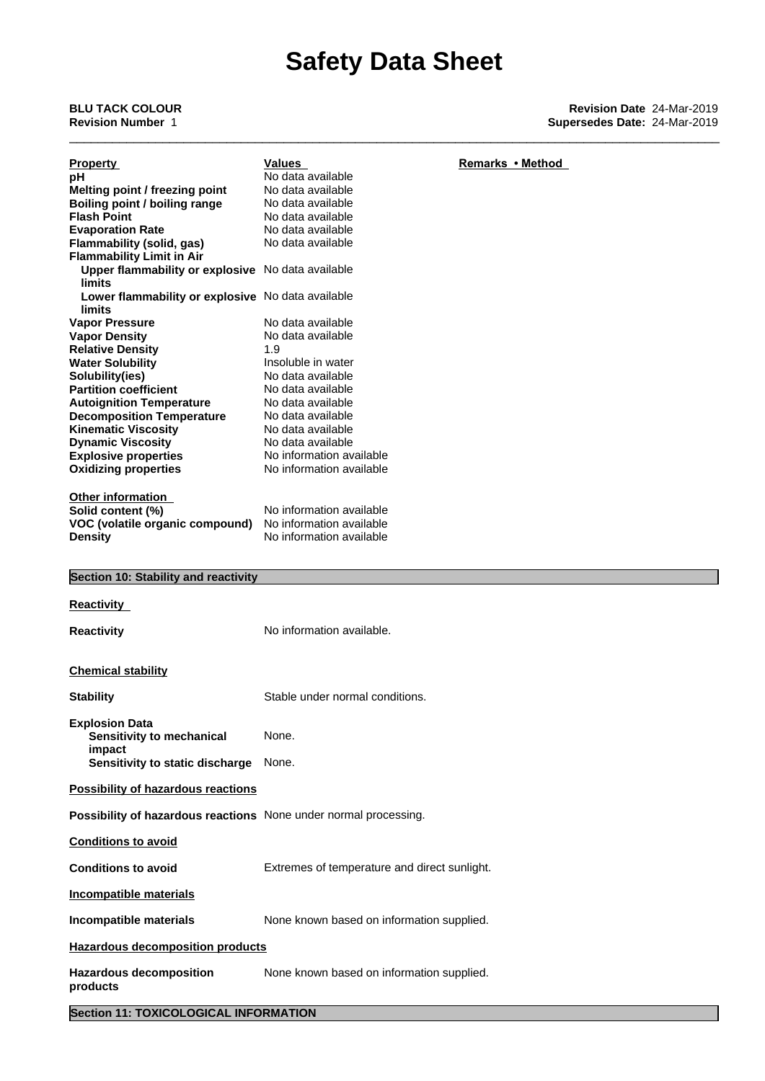**Section 11: TOXICOLOGICAL INFORMATION**

| <b>Property</b>                                                              | <b>Values</b>                                | Remarks • Method |
|------------------------------------------------------------------------------|----------------------------------------------|------------------|
| рH                                                                           | No data available                            |                  |
| Melting point / freezing point                                               | No data available                            |                  |
| Boiling point / boiling range                                                | No data available                            |                  |
| <b>Flash Point</b>                                                           | No data available                            |                  |
| <b>Evaporation Rate</b>                                                      | No data available                            |                  |
| Flammability (solid, gas)                                                    | No data available                            |                  |
| <b>Flammability Limit in Air</b>                                             |                                              |                  |
| Upper flammability or explosive No data available                            |                                              |                  |
| <b>limits</b><br>Lower flammability or explosive No data available<br>limits |                                              |                  |
|                                                                              | No data available                            |                  |
| <b>Vapor Pressure</b>                                                        | No data available                            |                  |
| <b>Vapor Density</b><br><b>Relative Density</b>                              | 1.9                                          |                  |
|                                                                              | Insoluble in water                           |                  |
| <b>Water Solubility</b>                                                      | No data available                            |                  |
| Solubility(ies)                                                              |                                              |                  |
| <b>Partition coefficient</b>                                                 | No data available                            |                  |
| <b>Autoignition Temperature</b>                                              | No data available                            |                  |
| <b>Decomposition Temperature</b>                                             | No data available                            |                  |
| <b>Kinematic Viscosity</b>                                                   | No data available                            |                  |
| <b>Dynamic Viscosity</b>                                                     | No data available                            |                  |
| <b>Explosive properties</b>                                                  | No information available                     |                  |
| <b>Oxidizing properties</b>                                                  | No information available                     |                  |
|                                                                              |                                              |                  |
| Other information                                                            |                                              |                  |
| Solid content (%)                                                            | No information available                     |                  |
| VOC (volatile organic compound)                                              | No information available                     |                  |
| <b>Density</b>                                                               | No information available                     |                  |
|                                                                              |                                              |                  |
| Section 10: Stability and reactivity                                         |                                              |                  |
|                                                                              |                                              |                  |
|                                                                              |                                              |                  |
|                                                                              |                                              |                  |
| <b>Reactivity</b>                                                            |                                              |                  |
|                                                                              | No information available.                    |                  |
| <b>Reactivity</b>                                                            |                                              |                  |
|                                                                              |                                              |                  |
| <b>Chemical stability</b>                                                    |                                              |                  |
|                                                                              |                                              |                  |
| <b>Stability</b>                                                             | Stable under normal conditions.              |                  |
|                                                                              |                                              |                  |
| <b>Explosion Data</b>                                                        | None.                                        |                  |
| Sensitivity to mechanical                                                    |                                              |                  |
| impact                                                                       |                                              |                  |
| Sensitivity to static discharge                                              | None.                                        |                  |
| <b>Possibility of hazardous reactions</b>                                    |                                              |                  |
|                                                                              |                                              |                  |
| Possibility of hazardous reactions None under normal processing.             |                                              |                  |
| <b>Conditions to avoid</b>                                                   |                                              |                  |
| <b>Conditions to avoid</b>                                                   | Extremes of temperature and direct sunlight. |                  |
|                                                                              |                                              |                  |
| <b>Incompatible materials</b>                                                |                                              |                  |
| Incompatible materials                                                       | None known based on information supplied.    |                  |
|                                                                              |                                              |                  |
| <b>Hazardous decomposition products</b>                                      |                                              |                  |
| <b>Hazardous decomposition</b>                                               | None known based on information supplied.    |                  |
| products                                                                     |                                              |                  |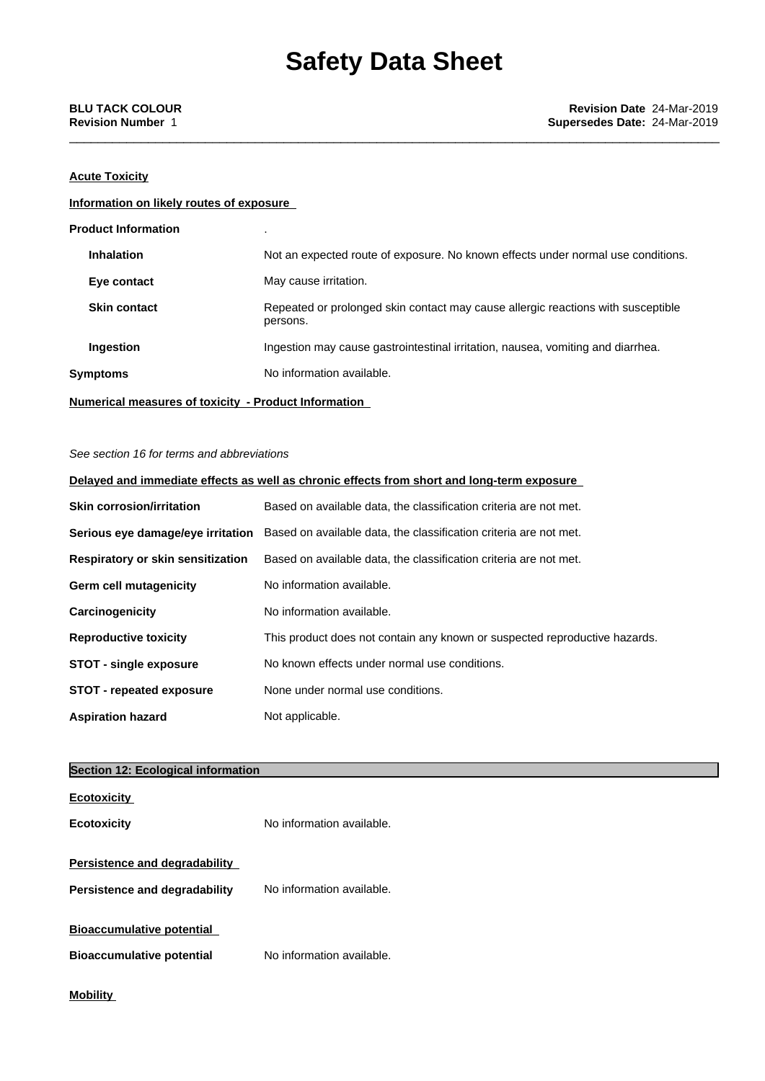### **Acute Toxicity**

### **Information on likely routes of exposure**

| <b>Product Information</b> |                                                                                              |
|----------------------------|----------------------------------------------------------------------------------------------|
| <b>Inhalation</b>          | Not an expected route of exposure. No known effects under normal use conditions.             |
| Eye contact                | May cause irritation.                                                                        |
| <b>Skin contact</b>        | Repeated or prolonged skin contact may cause allergic reactions with susceptible<br>persons. |
| <b>Ingestion</b>           | Ingestion may cause gastrointestinal irritation, nausea, vomiting and diarrhea.              |
| <b>Symptoms</b>            | No information available.                                                                    |
|                            |                                                                                              |

**Numerical measures of toxicity - Product Information**

#### *See section 16 for terms and abbreviations*

|                                   | Delayed and immediate effects as well as chronic effects from short and long-term exposure          |
|-----------------------------------|-----------------------------------------------------------------------------------------------------|
| <b>Skin corrosion/irritation</b>  | Based on available data, the classification criteria are not met.                                   |
|                                   | Serious eye damage/eye irritation Based on available data, the classification criteria are not met. |
| Respiratory or skin sensitization | Based on available data, the classification criteria are not met.                                   |
| Germ cell mutagenicity            | No information available.                                                                           |
| Carcinogenicity                   | No information available.                                                                           |
| <b>Reproductive toxicity</b>      | This product does not contain any known or suspected reproductive hazards.                          |
| <b>STOT - single exposure</b>     | No known effects under normal use conditions.                                                       |
| <b>STOT</b> - repeated exposure   | None under normal use conditions.                                                                   |
| <b>Aspiration hazard</b>          | Not applicable.                                                                                     |

| <b>Section 12: Ecological information</b> |                           |  |
|-------------------------------------------|---------------------------|--|
| <b>Ecotoxicity</b>                        |                           |  |
| <b>Ecotoxicity</b>                        | No information available. |  |
| Persistence and degradability             |                           |  |
| Persistence and degradability             | No information available. |  |
| <b>Bioaccumulative potential</b>          |                           |  |
| <b>Bioaccumulative potential</b>          | No information available. |  |
| <b>Mobility</b>                           |                           |  |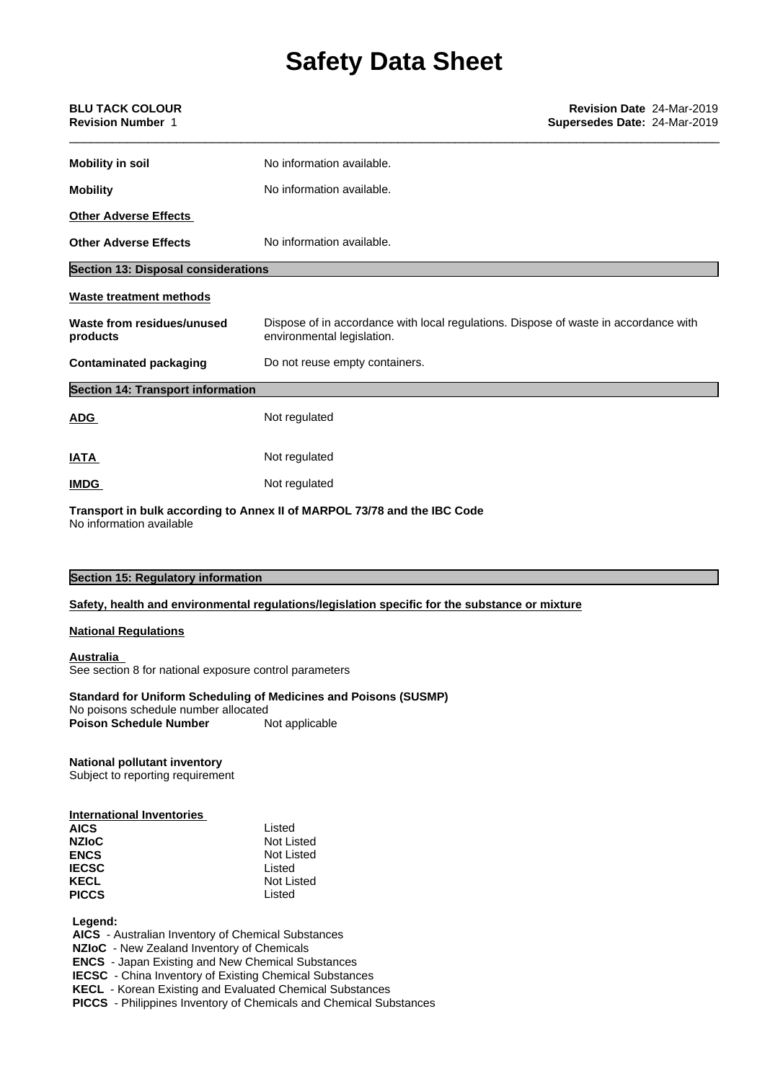| <b>BLU TACK COLOUR</b><br><b>Revision Number 1</b> | <b>Revision Date 24-Mar-2019</b><br>Supersedes Date: 24-Mar-2019                                                   |
|----------------------------------------------------|--------------------------------------------------------------------------------------------------------------------|
| <b>Mobility in soil</b>                            | No information available.                                                                                          |
| <b>Mobility</b>                                    | No information available.                                                                                          |
| <b>Other Adverse Effects</b>                       |                                                                                                                    |
| <b>Other Adverse Effects</b>                       | No information available.                                                                                          |
| <b>Section 13: Disposal considerations</b>         |                                                                                                                    |
| <b>Waste treatment methods</b>                     |                                                                                                                    |
| Waste from residues/unused<br>products             | Dispose of in accordance with local regulations. Dispose of waste in accordance with<br>environmental legislation. |
| <b>Contaminated packaging</b>                      | Do not reuse empty containers.                                                                                     |
| <b>Section 14: Transport information</b>           |                                                                                                                    |
| <b>ADG</b>                                         | Not regulated                                                                                                      |
| <b>IATA</b>                                        | Not regulated                                                                                                      |
| <b>IMDG</b>                                        | Not regulated                                                                                                      |
|                                                    |                                                                                                                    |

**Transport in bulk according to Annex II ofMARPOL 73/78 and the IBC Code** No information available

| <b>Section 15: Regulatory information</b> |  |
|-------------------------------------------|--|
|-------------------------------------------|--|

#### **Safety, health and environmental regulations/legislation specific for the substance or mixture**

#### **National Regulations**

#### **Australia**

See section 8 for national exposure control parameters

#### **Standard for Uniform Scheduling of Medicines and Poisons (SUSMP)**

No poisons schedule number allocated<br> **Poison Schedule Number** Not applicable **Poison Schedule Number** 

### **National pollutant inventory**

Subject to reporting requirement

| Listed                           |  |
|----------------------------------|--|
| Not Listed                       |  |
| Not Listed                       |  |
| Listed                           |  |
| Not Listed                       |  |
| Listed                           |  |
| <b>International Inventories</b> |  |

 **Legend:**

 **AICS** - Australian Inventory of Chemical Substances

 **NZIoC** - New Zealand Inventory of Chemicals

 **ENCS** - Japan Existing and New Chemical Substances

 **IECSC** - China Inventory of Existing Chemical Substances

 **KECL** - Korean Existing and Evaluated Chemical Substances

 **PICCS** - Philippines Inventory of Chemicals and Chemical Substances